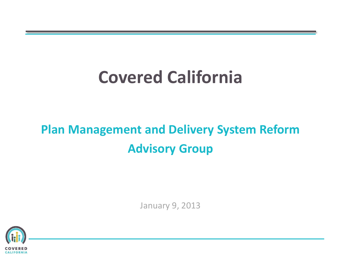# **Covered California**

# **Plan Management and Delivery System Reform Advisory Group**

January 9, 2013

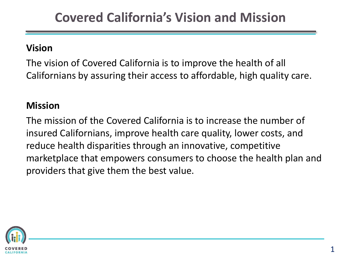### **Vision**

The vision of Covered California is to improve the health of all Californians by assuring their access to affordable, high quality care.

#### **Mission**

The mission of the Covered California is to increase the number of insured Californians, improve health care quality, lower costs, and reduce health disparities through an innovative, competitive marketplace that empowers consumers to choose the health plan and providers that give them the best value.

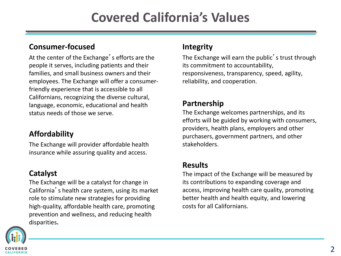#### **Consumer-focused**

At the center of the Exchange's efforts are the people it serves, including patients and their families, and small business owners and their employees. The Exchange will offer a consumerfriendly experience that is accessible to all Californians, recognizing the diverse cultural, language, economic, educational and health status needs of those we serve.

#### **Affordability**

The Exchange will provider affordable health insurance while assuring quality and access.

#### **Catalyst**

The Exchange will be a catalyst for change in California's health care system, using its market role to stimulate new strategies for providing high-quality, affordable health care, promoting prevention and wellness, and reducing health disparities**.**



#### **Integrity**

The Exchange will earn the public's trust through its commitment to accountability, responsiveness, transparency, speed, agility, reliability, and cooperation.

#### **Partnership**

The Exchange welcomes partnerships, and its efforts will be guided by working with consumers, providers, health plans, employers and other purchasers, government partners, and other stakeholders.

#### **Results**

The impact of the Exchange will be measured by its contributions to expanding coverage and access, improving health care quality, promoting better health and health equity, and lowering costs for all Californians.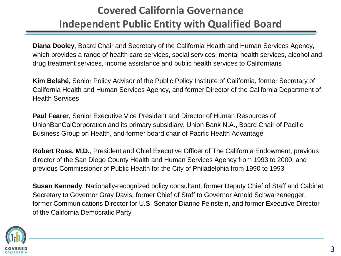### **Covered California Governance Independent Public Entity with Qualified Board**

**Diana Dooley**, Board Chair and Secretary of the California Health and Human Services Agency, which provides a range of health care services, social services, mental health services, alcohol and drug treatment services, income assistance and public health services to Californians

**Kim Belshé**, Senior Policy Advisor of the Public Policy Institute of California, former Secretary of California Health and Human Services Agency, and former Director of the California Department of Health Services

**Paul Fearer**, Senior Executive Vice President and Director of Human Resources of UnionBanCalCorporation and its primary subsidiary, Union Bank N.A., Board Chair of Pacific Business Group on Health, and former board chair of Pacific Health Advantage

**Robert Ross, M.D.**, President and Chief Executive Officer of The California Endowment, previous director of the San Diego County Health and Human Services Agency from 1993 to 2000, and previous Commissioner of Public Health for the City of Philadelphia from 1990 to 1993

**Susan Kennedy**, Nationally-recognized policy consultant, former Deputy Chief of Staff and Cabinet Secretary to Governor Gray Davis, former Chief of Staff to Governor Arnold Schwarzenegger, former Communications Director for U.S. Senator Dianne Feinstein, and former Executive Director of the California Democratic Party

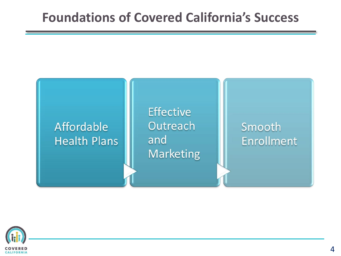## **Foundations of Covered California's Success**

### Affordable **Health Plans**

**Effective** Outreach and **Marketing** 

Smooth **Enrollment** 

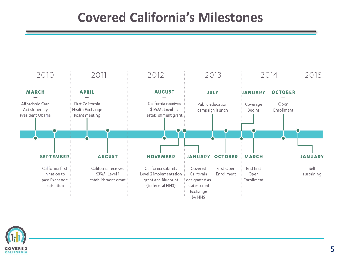## **Covered California's Milestones**



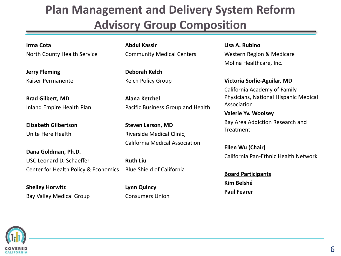## **Plan Management and Delivery System Reform Advisory Group Composition**

**Irma Cota** North County Health Service

**Jerry Fleming** Kaiser Permanente

**Brad Gilbert, MD** Inland Empire Health Plan

**Elizabeth Gilbertson** Unite Here Health

**Dana Goldman, Ph.D.** USC Leonard D. Schaeffer Center for Health Policy & Economics

**Shelley Horwitz** Bay Valley Medical Group **Abdul Kassir** Community Medical Centers

**Deborah Kelch** Kelch Policy Group

**Alana Ketchel** Pacific Business Group and Health

**Steven Larson, MD** Riverside Medical Clinic, California Medical Association

**Ruth Liu** Blue Shield of California

**Lynn Quincy** Consumers Union **Lisa A. Rubino** Western Region & Medicare Molina Healthcare, Inc.

**Victoria Sorlie-Aguilar, MD** California Academy of Family Physicians, National Hispanic Medical Association

**Valerie Yv. Woolsey** Bay Area Addiction Research and **Treatment** 

**Ellen Wu (Chair)** California Pan-Ethnic Health Network

**Board Participants Kim Belshé Paul Fearer**

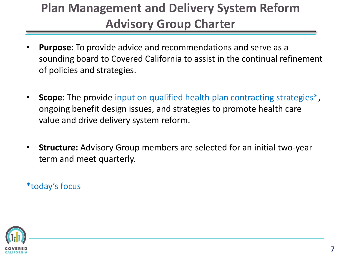## **Plan Management and Delivery System Reform Advisory Group Charter**

- **Purpose**: To provide advice and recommendations and serve as a sounding board to Covered California to assist in the continual refinement of policies and strategies.
- **Scope**: The provide input on qualified health plan contracting strategies<sup>\*</sup>, ongoing benefit design issues, and strategies to promote health care value and drive delivery system reform.
- **Structure:** Advisory Group members are selected for an initial two-year term and meet quarterly.

\*today's focus

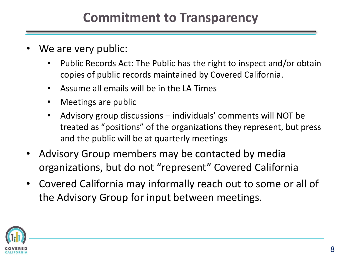## **Commitment to Transparency**

- We are very public:
	- Public Records Act: The Public has the right to inspect and/or obtain copies of public records maintained by Covered California.
	- Assume all emails will be in the LA Times
	- Meetings are public
	- Advisory group discussions individuals' comments will NOT be treated as "positions" of the organizations they represent, but press and the public will be at quarterly meetings
- Advisory Group members may be contacted by media organizations, but do not "represent" Covered California
- Covered California may informally reach out to some or all of the Advisory Group for input between meetings.

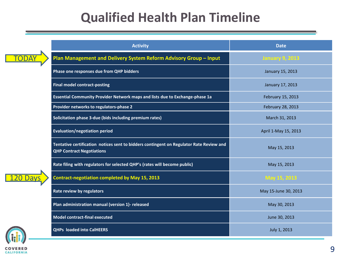## **Qualified Health Plan Timeline**

|  | <b>Activity</b>                                                                                                             | <b>Date</b>            |  |  |  |  |
|--|-----------------------------------------------------------------------------------------------------------------------------|------------------------|--|--|--|--|
|  | Plan Management and Delivery System Reform Advisory Group - Input                                                           | <b>January 9, 2013</b> |  |  |  |  |
|  | Phase one responses due from QHP bidders                                                                                    | January 15, 2013       |  |  |  |  |
|  | <b>Final model contract-posting</b>                                                                                         | January 17, 2013       |  |  |  |  |
|  | Essential Community Provider Network maps and lists due to Exchange-phase 1a                                                | February 15, 2013      |  |  |  |  |
|  | Provider networks to regulators-phase 2                                                                                     | February 28, 2013      |  |  |  |  |
|  | Solicitation phase 3-due (bids including premium rates)                                                                     | March 31, 2013         |  |  |  |  |
|  | <b>Evaluation/negotiation period</b>                                                                                        | April 1-May 15, 2013   |  |  |  |  |
|  | Tentative certification notices sent to bidders contingent on Regulator Rate Review and<br><b>QHP Contract Negotiations</b> | May 15, 2013           |  |  |  |  |
|  | Rate filing with regulators for selected QHP's (rates will become public)                                                   | May 15, 2013           |  |  |  |  |
|  | <b>Contract-negotiation completed by May 15, 2013</b>                                                                       | May 15, 2013           |  |  |  |  |
|  | Rate review by regulators                                                                                                   | May 15-June 30, 2013   |  |  |  |  |
|  | Plan administration manual (version 1)- released                                                                            | May 30, 2013           |  |  |  |  |
|  | <b>Model contract-final executed</b>                                                                                        | June 30, 2013          |  |  |  |  |
|  | <b>QHPs loaded into CalHEERS</b>                                                                                            | July 1, 2013           |  |  |  |  |
|  |                                                                                                                             |                        |  |  |  |  |

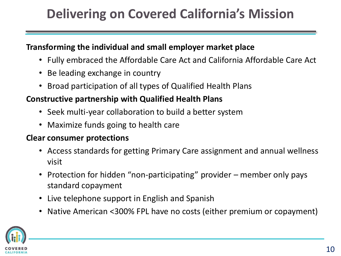## **Delivering on Covered California's Mission**

#### **Transforming the individual and small employer market place**

- Fully embraced the Affordable Care Act and California Affordable Care Act
- Be leading exchange in country
- Broad participation of all types of Qualified Health Plans

#### **Constructive partnership with Qualified Health Plans**

- Seek multi-year collaboration to build a better system
- Maximize funds going to health care

#### **Clear consumer protections**

- Access standards for getting Primary Care assignment and annual wellness visit
- Protection for hidden "non-participating" provider member only pays standard copayment
- Live telephone support in English and Spanish
- Native American <300% FPL have no costs (either premium or copayment)

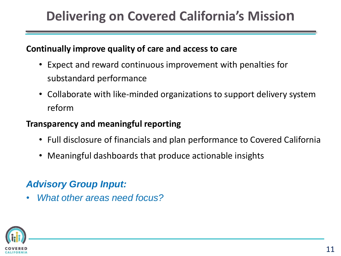## **Delivering on Covered California's Mission**

#### **Continually improve quality of care and access to care**

- Expect and reward continuous improvement with penalties for substandard performance
- Collaborate with like-minded organizations to support delivery system reform

#### **Transparency and meaningful reporting**

- Full disclosure of financials and plan performance to Covered California
- Meaningful dashboards that produce actionable insights

### *Advisory Group Input:*

• *What other areas need focus?* 

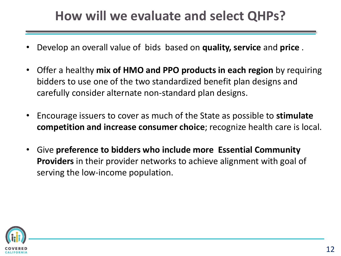## **How will we evaluate and select QHPs?**

- Develop an overall value of bids based on **quality, service** and **price** .
- Offer a healthy **mix of HMO and PPO products in each region** by requiring bidders to use one of the two standardized benefit plan designs and carefully consider alternate non-standard plan designs.
- Encourage issuers to cover as much of the State as possible to **stimulate competition and increase consumer choice**; recognize health care is local.
- Give **preference to bidders who include more Essential Community Providers** in their provider networks to achieve alignment with goal of serving the low-income population.

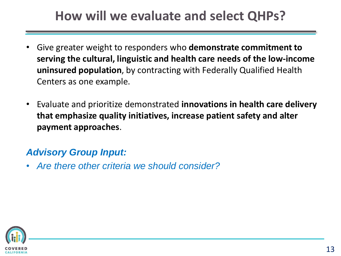## **How will we evaluate and select QHPs?**

- Give greater weight to responders who **demonstrate commitment to serving the cultural, linguistic and health care needs of the low-income uninsured population**, by contracting with Federally Qualified Health Centers as one example.
- Evaluate and prioritize demonstrated **innovations in health care delivery that emphasize quality initiatives, increase patient safety and alter payment approaches**.

### *Advisory Group Input:*

• *Are there other criteria we should consider?* 

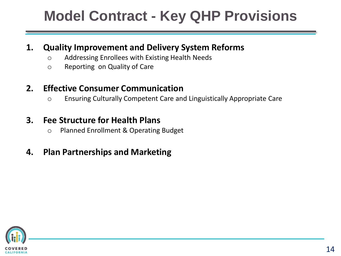# **Model Contract - Key QHP Provisions**

#### **1. Quality Improvement and Delivery System Reforms**

- o Addressing Enrollees with Existing Health Needs
- o Reporting on Quality of Care

### **2. Effective Consumer Communication**

o Ensuring Culturally Competent Care and Linguistically Appropriate Care

#### **3. Fee Structure for Health Plans**

o Planned Enrollment & Operating Budget

### **4. Plan Partnerships and Marketing**

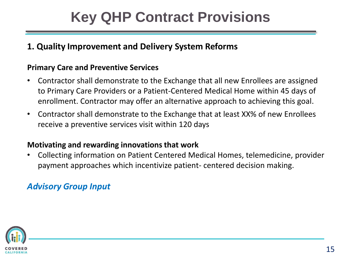#### **1. Quality Improvement and Delivery System Reforms**

#### **Primary Care and Preventive Services**

- Contractor shall demonstrate to the Exchange that all new Enrollees are assigned to Primary Care Providers or a Patient-Centered Medical Home within 45 days of enrollment. Contractor may offer an alternative approach to achieving this goal.
- Contractor shall demonstrate to the Exchange that at least XX% of new Enrollees receive a preventive services visit within 120 days

#### **Motivating and rewarding innovations that work**

• Collecting information on Patient Centered Medical Homes, telemedicine, provider payment approaches which incentivize patient- centered decision making.

#### *Advisory Group Input*

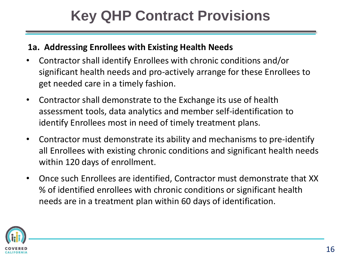#### **1a. Addressing Enrollees with Existing Health Needs**

- Contractor shall identify Enrollees with chronic conditions and/or significant health needs and pro-actively arrange for these Enrollees to get needed care in a timely fashion.
- Contractor shall demonstrate to the Exchange its use of health assessment tools, data analytics and member self-identification to identify Enrollees most in need of timely treatment plans.
- Contractor must demonstrate its ability and mechanisms to pre-identify all Enrollees with existing chronic conditions and significant health needs within 120 days of enrollment.
- Once such Enrollees are identified, Contractor must demonstrate that XX % of identified enrollees with chronic conditions or significant health needs are in a treatment plan within 60 days of identification.

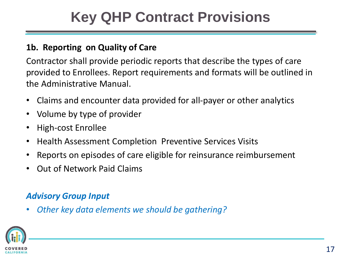### **1b. Reporting on Quality of Care**

Contractor shall provide periodic reports that describe the types of care provided to Enrollees. Report requirements and formats will be outlined in the Administrative Manual.

- Claims and encounter data provided for all-payer or other analytics
- Volume by type of provider
- High-cost Enrollee
- Health Assessment Completion Preventive Services Visits
- Reports on episodes of care eligible for reinsurance reimbursement
- Out of Network Paid Claims

### *Advisory Group Input*

• *Other key data elements we should be gathering?* 

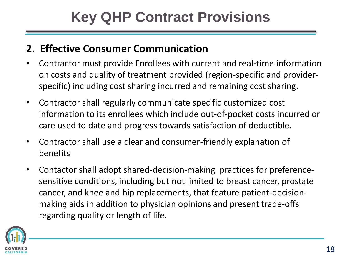### **2. Effective Consumer Communication**

- Contractor must provide Enrollees with current and real-time information on costs and quality of treatment provided (region-specific and providerspecific) including cost sharing incurred and remaining cost sharing.
- Contractor shall regularly communicate specific customized cost information to its enrollees which include out-of-pocket costs incurred or care used to date and progress towards satisfaction of deductible.
- Contractor shall use a clear and consumer-friendly explanation of benefits
- Contactor shall adopt shared-decision-making practices for preferencesensitive conditions, including but not limited to breast cancer, prostate cancer, and knee and hip replacements, that feature patient-decisionmaking aids in addition to physician opinions and present trade-offs regarding quality or length of life.

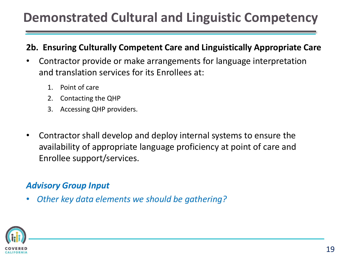## **Demonstrated Cultural and Linguistic Competency**

#### **2b. Ensuring Culturally Competent Care and Linguistically Appropriate Care**

- Contractor provide or make arrangements for language interpretation and translation services for its Enrollees at:
	- 1. Point of care
	- 2. Contacting the QHP
	- 3. Accessing QHP providers.
- Contractor shall develop and deploy internal systems to ensure the availability of appropriate language proficiency at point of care and Enrollee support/services.

#### *Advisory Group Input*

• *Other key data elements we should be gathering?* 

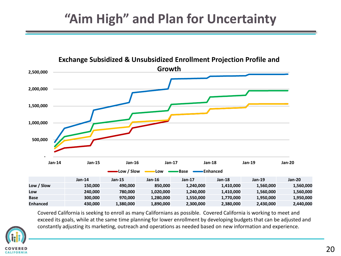## **"Aim High" and Plan for Uncertainty**



Covered California is seeking to enroll as many Californians as possible. Covered California is working to meet and exceed its goals, while at the same time planning for lower enrollment by developing budgets that can be adjusted and constantly adjusting its marketing, outreach and operations as needed based on new information and experience.

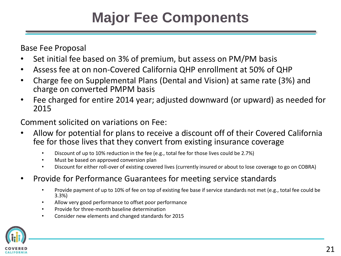# **Major Fee Components**

Base Fee Proposal

- Set initial fee based on 3% of premium, but assess on PM/PM basis
- Assess fee at on non-Covered California QHP enrollment at 50% of QHP
- Charge fee on Supplemental Plans (Dental and Vision) at same rate (3%) and charge on converted PMPM basis
- Fee charged for entire 2014 year; adjusted downward (or upward) as needed for 2015

Comment solicited on variations on Fee:

- Allow for potential for plans to receive a discount off of their Covered California fee for those lives that they convert from existing insurance coverage
	- Discount of up to 10% reduction in the fee (e.g., total fee for those lives could be 2.7%)
	- Must be based on approved conversion plan
	- Discount for either roll-over of existing covered lives (currently insured or about to lose coverage to go on COBRA)
- Provide for Performance Guarantees for meeting service standards
	- Provide payment of up to 10% of fee on top of existing fee base if service standards not met (e.g., total fee could be 3.3%)
	- Allow very good performance to offset poor performance
	- Provide for three-month baseline determination
	- Consider new elements and changed standards for 2015

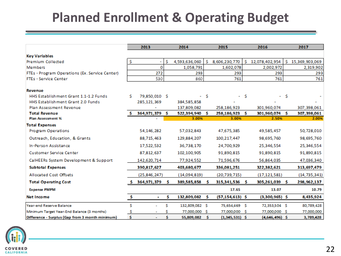## **Planned Enrollment & Operating Budget**

|                                                 | 2013         |                | 2014 | 2015           |          |                     | 2016 | 2017             |     |                |
|-------------------------------------------------|--------------|----------------|------|----------------|----------|---------------------|------|------------------|-----|----------------|
| <b>Key Variables</b>                            |              |                |      |                |          |                     |      |                  |     |                |
| Premium Collected                               | Ś.           | ۰              | Ŝ    | 4,593,636,060  | s        | 8,606,230,770       | Ŝ.   | 12,078,402,954   | Ŝ.  | 15,369,903,069 |
| Members                                         |              | $\mathbf{O}$   |      | 1,058,791      |          | 1,602,078           |      | 2,002,972        |     | 2,319,902      |
| FTEs - Program Operations (Ex. Service Center)  |              | 272            |      | 293            |          | 293                 |      | 293              |     | 293            |
| <b>FTEs - Service Center</b>                    |              | 530            |      | 860            |          | 761                 |      | 761              |     | 761            |
| Revenue                                         |              |                |      |                |          |                     |      |                  |     |                |
| HHS Establishment Grant 1.1-1.2 Funds           | Ś.           | 79,850,010 \$  |      | ۰              | -\$      | - S                 |      | ٠                | -S  |                |
| HHS Establishment Grant 2.0 Funds               |              | 285,121,369    |      | 384.585.858    |          |                     |      |                  |     |                |
| Plan Assessment Revenue                         |              |                |      | 137,809,082    |          | 258,186,923         |      | 301.960.074      |     | 307,398,061    |
| <b>Total Revenue</b>                            |              | 364,971,379    | Ŝ    | 522,394,940    | - 5      | 258,186,923         | s    | 301,960,074      | -Ś. | 307,398,061    |
| Plan Assessment %                               |              |                |      | 3.00%          |          | 3.00%               |      | 2.50%            |     | 2.00%          |
| <b>Total Expenses</b>                           |              |                |      |                |          |                     |      |                  |     |                |
| <b>Program Operations</b>                       |              | 54,146,282     |      | 57,032,843     |          | 47,675,385          |      | 49,585,457       |     | 50,728,010     |
| Outreach, Education, & Grants                   |              | 88,715,463     |      | 129,884,207    |          | 100,217,447         |      | 98,695,760       |     | 98,695,760     |
| In-Person Assistance                            |              | 17,522,532     |      | 36.738.170     |          | 24,700,929          |      | 25,346,554       |     | 25,346,554     |
| <b>Customer Service Center</b>                  |              | 87,812,637     |      | 102,100,905    |          | 91,890,815          |      | 91,890,815       |     | 91,890,815     |
| CalHEERs System Development & Support           |              | 142,620,714    |      | 77,924,552     |          | 71,596,676          |      | 56,864,035       |     | 47,036,340     |
| <b>Subtotal Expenses</b>                        |              | 390,817,627    |      | 403,680,677    |          | 336,081,251         |      | 322,382,621      |     | 313,697,479    |
| <b>Allocated Cost Offsets</b>                   |              | (25, 846, 247) |      | (14,094,819)   |          | (20, 739, 715)      |      | (17, 121, 581)   |     | (14, 735, 341) |
| <b>Total Operating Cost</b>                     |              | 364,971,379    | Š.   | 389,585,858    | s        | 315,341,536         | Ŝ.   | 305,261,039 \$   |     | 298,962,137    |
| <b>Expense PMPM</b>                             |              |                |      |                |          | 17.65               |      | 13.07            |     | 10.79          |
| Net Income                                      | $\mathbf{s}$ | ۰              | Ś    | 132,809,082    | Š.       | $(57, 154, 613)$ \$ |      | $(3,300,965)$ \$ |     | 8,435,924      |
| Year-end Reserve Balance                        | \$           | ٠              | Ś    | 132,809,082 \$ |          | 75,654,469          | -S   | 72,353,504 \$    |     | 80,789,428     |
| Minimum Target Year-End Balance (3 months)      | \$           |                | s    | 77,000,000 \$  |          | 77,000,000          | -S   | 77,000,000 \$    |     | 77,000,000     |
| Difference - Surplus (Gap from 3 month minimum) | \$           | ÷              | \$   | 55,809,082     | <b>S</b> | $(1,345,531)$ \$    |      | $(4,646,496)$ \$ |     | 3,789,428      |

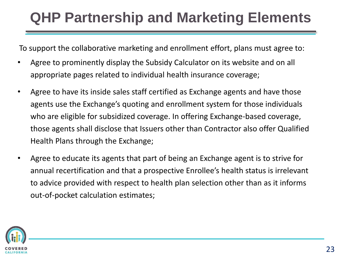# **QHP Partnership and Marketing Elements**

To support the collaborative marketing and enrollment effort, plans must agree to:

- Agree to prominently display the Subsidy Calculator on its website and on all appropriate pages related to individual health insurance coverage;
- Agree to have its inside sales staff certified as Exchange agents and have those agents use the Exchange's quoting and enrollment system for those individuals who are eligible for subsidized coverage. In offering Exchange-based coverage, those agents shall disclose that Issuers other than Contractor also offer Qualified Health Plans through the Exchange;
- Agree to educate its agents that part of being an Exchange agent is to strive for annual recertification and that a prospective Enrollee's health status is irrelevant to advice provided with respect to health plan selection other than as it informs out-of-pocket calculation estimates;

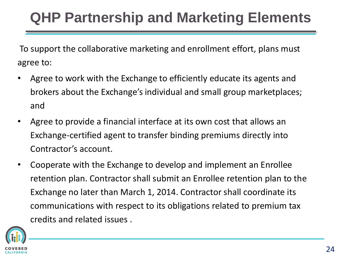# **QHP Partnership and Marketing Elements**

To support the collaborative marketing and enrollment effort, plans must agree to:

- Agree to work with the Exchange to efficiently educate its agents and brokers about the Exchange's individual and small group marketplaces; and
- Agree to provide a financial interface at its own cost that allows an Exchange-certified agent to transfer binding premiums directly into Contractor's account.
- Cooperate with the Exchange to develop and implement an Enrollee retention plan. Contractor shall submit an Enrollee retention plan to the Exchange no later than March 1, 2014. Contractor shall coordinate its communications with respect to its obligations related to premium tax credits and related issues .